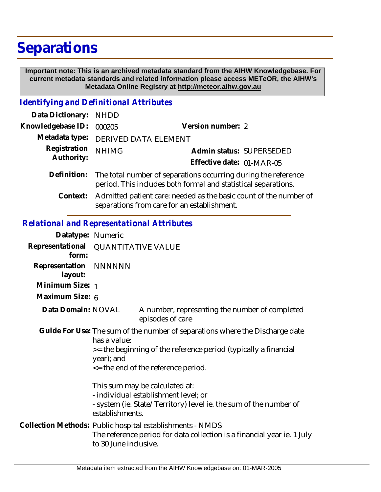## **Separations**

 **Important note: This is an archived metadata standard from the AIHW Knowledgebase. For current metadata standards and related information please access METeOR, the AIHW's Metadata Online Registry at http://meteor.aihw.gov.au**

*Identifying and Definitional Attributes*

| Data Dictionary: NHDD      |                                                                            |                           |  |
|----------------------------|----------------------------------------------------------------------------|---------------------------|--|
| Knowledgebase ID: 000205   |                                                                            | Version number: 2         |  |
|                            | Metadata type: DERIVED DATA ELEMENT                                        |                           |  |
| Registration<br>Authority: | <b>NHIMG</b>                                                               | Admin status: SUPERSEDED  |  |
|                            |                                                                            | Effective date: 01-MAR-05 |  |
|                            | Definition: The total number of separations occurring during the reference |                           |  |

Admitted patient care: needed as the basic count of the number of separations from care for an establishment. **Context:**

period. This includes both formal and statistical separations.

## *Relational and Representational Attributes*

| Datatype: Numeric         |                                                                                                                                                                                                                          |                                                                                                                                      |  |
|---------------------------|--------------------------------------------------------------------------------------------------------------------------------------------------------------------------------------------------------------------------|--------------------------------------------------------------------------------------------------------------------------------------|--|
| form:                     | Representational QUANTITATIVE VALUE                                                                                                                                                                                      |                                                                                                                                      |  |
| Representation<br>layout: | NNNNNN                                                                                                                                                                                                                   |                                                                                                                                      |  |
| Minimum Size: 1           |                                                                                                                                                                                                                          |                                                                                                                                      |  |
| Maximum Size: 6           |                                                                                                                                                                                                                          |                                                                                                                                      |  |
| Data Domain: NOVAL        |                                                                                                                                                                                                                          | A number, representing the number of completed<br>episodes of care                                                                   |  |
|                           | Guide For Use: The sum of the number of separations where the Discharge date<br>has a value:<br>>= the beginning of the reference period (typically a financial<br>year); and<br>$\leq$ the end of the reference period. |                                                                                                                                      |  |
|                           | This sum may be calculated at:<br>- individual establishment level; or<br>- system (ie. State/Territory) level ie. the sum of the number of<br>establishments.                                                           |                                                                                                                                      |  |
|                           | to 30 June inclusive.                                                                                                                                                                                                    | Collection Methods: Public hospital establishments - NMDS<br>The reference period for data collection is a financial year ie. 1 July |  |